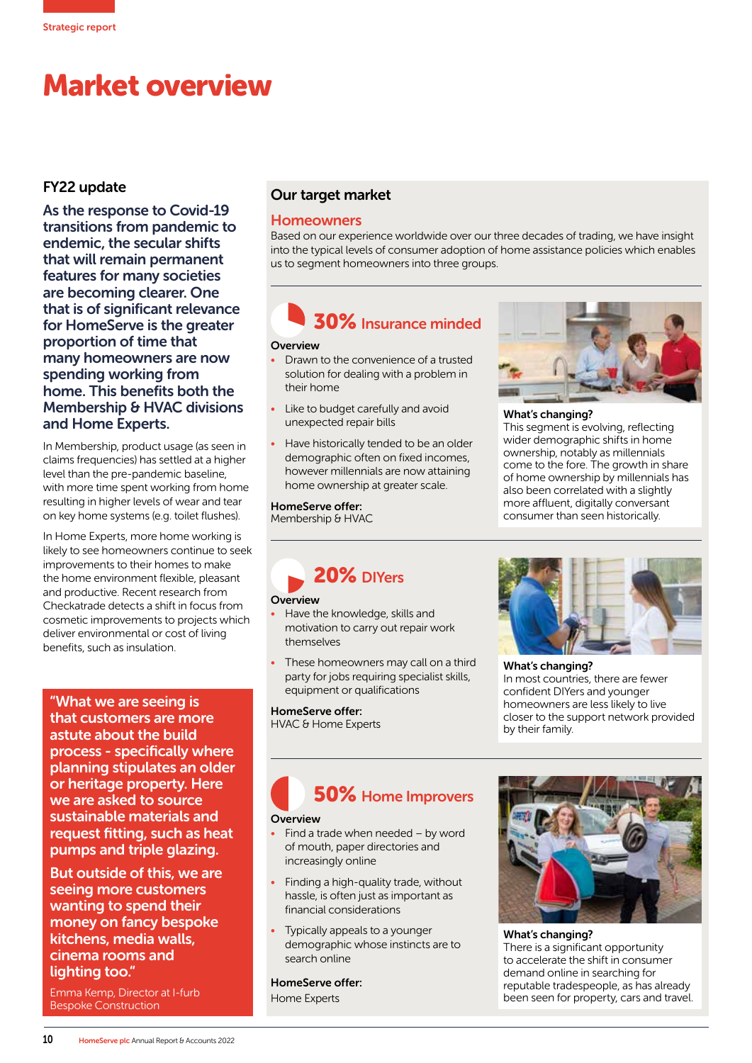## Market overview

#### FY22 update

As the response to Covid-19 transitions from pandemic to endemic, the secular shifts that will remain permanent features for many societies are becoming clearer. One that is of significant relevance for HomeServe is the greater proportion of time that many homeowners are now spending working from home. This benefits both the Membership & HVAC divisions and Home Experts.

In Membership, product usage (as seen in claims frequencies) has settled at a higher level than the pre-pandemic baseline, with more time spent working from home resulting in higher levels of wear and tear on key home systems (e.g. toilet flushes).

In Home Experts, more home working is likely to see homeowners continue to seek improvements to their homes to make the home environment flexible, pleasant and productive. Recent research from Checkatrade detects a shift in focus from cosmetic improvements to projects which deliver environmental or cost of living benefits, such as insulation.

"What we are seeing is that customers are more astute about the build process - specifically where planning stipulates an older or heritage property. Here we are asked to source sustainable materials and request fitting, such as heat pumps and triple glazing.

But outside of this, we are seeing more customers wanting to spend their money on fancy bespoke kitchens, media walls, cinema rooms and lighting too."

Emma Kemp, Director at I-furb Bespoke Construction

#### Our target market

#### **Homeowners**

Based on our experience worldwide over our three decades of trading, we have insight into the typical levels of consumer adoption of home assistance policies which enables us to segment homeowners into three groups.

### 30% Insurance minded

#### **Overview**

- Drawn to the convenience of a trusted solution for dealing with a problem in their home
- Like to budget carefully and avoid unexpected repair bills
- Have historically tended to be an older demographic often on fixed incomes, however millennials are now attaining home ownership at greater scale.

HomeServe offer: Membership & HVAC



#### What's changing?

This segment is evolving, reflecting wider demographic shifts in home ownership, notably as millennials come to the fore. The growth in share of home ownership by millennials has also been correlated with a slightly more affluent, digitally conversant consumer than seen historically.

20% DIYers

#### **Overview**

- Have the knowledge, skills and motivation to carry out repair work themselves
- These homeowners may call on a third party for jobs requiring specialist skills, equipment or qualifications

HomeServe offer:

HVAC & Home Experts



What's changing? In most countries, there are fewer confident DIYers and younger homeowners are less likely to live closer to the support network provided by their family.

# 50% Home Improvers

#### **Overview**

- Find a trade when needed by word of mouth, paper directories and increasingly online
- Finding a high-quality trade, without hassle, is often just as important as financial considerations
- Typically appeals to a younger demographic whose instincts are to search online

HomeServe offer: Home Experts



What's changing? There is a significant opportunity to accelerate the shift in consumer demand online in searching for reputable tradespeople, as has already been seen for property, cars and travel.